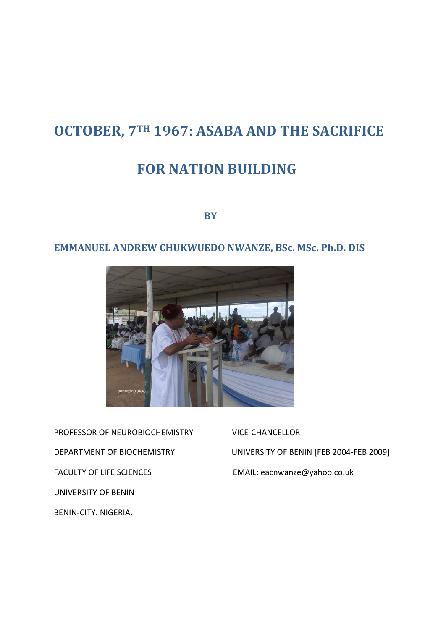# **OCTOBER, 7TH 1967: ASABA AND THE SACRIFICE**

## **FOR NATION BUILDING**

**BY** BY

## **EMMANUEL ANDREW CHUKWUEDO NWANZE, BSc. MSc. Ph.D. DIS**



PROFESSOR OF NEUROBIOCHEMISTRY VICE-CHANCELLOR FACULTY OF LIFE SCIENCES EMAIL: eacnwanze@yahoo.co.uk UNIVERSITY OF BENIN BENIN-CITY. NIGERIA.

DEPARTMENT OF BIOCHEMISTRY UNIVERSITY OF BENIN [FEB 2004-FEB 2009]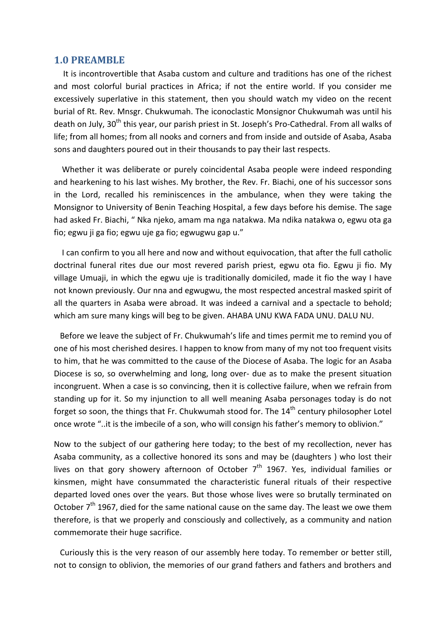#### **1.0 PREAMBLE**

 It is incontrovertible that Asaba custom and culture and traditions has one of the richest and most colorful burial practices in Africa; if not the entire world. If you consider me excessively superlative in this statement, then you should watch my video on the recent burial of Rt. Rev. Mnsgr. Chukwumah. The iconoclastic Monsignor Chukwumah was until his death on July, 30<sup>th</sup> this year, our parish priest in St. Joseph's Pro-Cathedral. From all walks of life; from all homes; from all nooks and corners and from inside and outside of Asaba, Asaba sons and daughters poured out in their thousands to pay their last respects.

 Whether it was deliberate or purely coincidental Asaba people were indeed responding and hearkening to his last wishes. My brother, the Rev. Fr. Biachi, one of his successor sons in the Lord, recalled his reminiscences in the ambulance, when they were taking the Monsignor to University of Benin Teaching Hospital, a few days before his demise. The sage had asked Fr. Biachi, " Nka njeko, amam ma nga natakwa. Ma ndika natakwa o, egwu ota ga fio; egwu ji ga fio; egwu uje ga fio; egwugwu gap u."

 I can confirm to you all here and now and without equivocation, that after the full catholic doctrinal funeral rites due our most revered parish priest, egwu ota fio. Egwu ji fio. My village Umuaji, in which the egwu uje is traditionally domiciled, made it fio the way I have not known previously. Our nna and egwugwu, the most respected ancestral masked spirit of all the quarters in Asaba were abroad. It was indeed a carnival and a spectacle to behold; which am sure many kings will beg to be given. AHABA UNU KWA FADA UNU. DALU NU.

 Before we leave the subject of Fr. Chukwumah's life and times permit me to remind you of one of his most cherished desires. I happen to know from many of my not too frequent visits to him, that he was committed to the cause of the Diocese of Asaba. The logic for an Asaba Diocese is so, so overwhelming and long, long over- due as to make the present situation incongruent. When a case is so convincing, then it is collective failure, when we refrain from standing up for it. So my injunction to all well meaning Asaba personages today is do not forget so soon, the things that Fr. Chukwumah stood for. The  $14<sup>th</sup>$  century philosopher Lotel once wrote "..it is the imbecile of a son, who will consign his father's memory to oblivion."

Now to the subject of our gathering here today; to the best of my recollection, never has Asaba community, as a collective honored its sons and may be (daughters ) who lost their lives on that gory showery afternoon of October  $7<sup>th</sup>$  1967. Yes, individual families or kinsmen, might have consummated the characteristic funeral rituals of their respective departed loved ones over the years. But those whose lives were so brutally terminated on October  $7<sup>th</sup>$  1967, died for the same national cause on the same day. The least we owe them therefore, is that we properly and consciously and collectively, as a community and nation commemorate their huge sacrifice.

 Curiously this is the very reason of our assembly here today. To remember or better still, not to consign to oblivion, the memories of our grand fathers and fathers and brothers and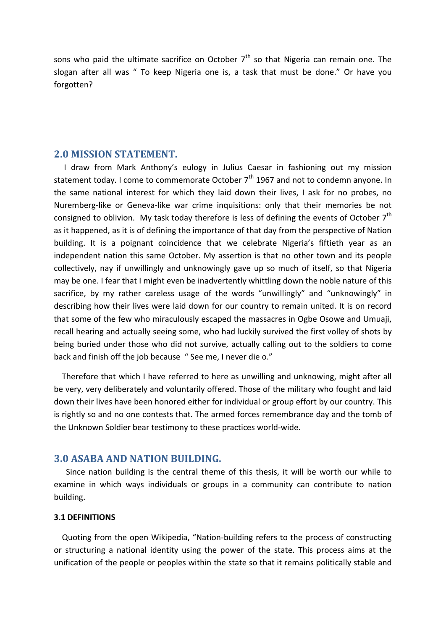sons who paid the ultimate sacrifice on October  $7<sup>th</sup>$  so that Nigeria can remain one. The slogan after all was " To keep Nigeria one is, a task that must be done." Or have you forgotten?

### **2.0 MISSION STATEMENT.**

 I draw from Mark Anthony's eulogy in Julius Caesar in fashioning out my mission statement today. I come to commemorate October  $7<sup>th</sup>$  1967 and not to condemn anyone. In the same national interest for which they laid down their lives, I ask for no probes, no Nuremberg-like or Geneva-like war crime inquisitions: only that their memories be not consigned to oblivion. My task today therefore is less of defining the events of October  $7<sup>th</sup>$ as it happened, as it is of defining the importance of that day from the perspective of Nation building. It is a poignant coincidence that we celebrate Nigeria's fiftieth year as an independent nation this same October. My assertion is that no other town and its people collectively, nay if unwillingly and unknowingly gave up so much of itself, so that Nigeria may be one. I fear that I might even be inadvertently whittling down the noble nature of this sacrifice, by my rather careless usage of the words "unwillingly" and "unknowingly" in describing how their lives were laid down for our country to remain united. It is on record that some of the few who miraculously escaped the massacres in Ogbe Osowe and Umuaji, recall hearing and actually seeing some, who had luckily survived the first volley of shots by being buried under those who did not survive, actually calling out to the soldiers to come back and finish off the job because " See me, I never die o."

 Therefore that which I have referred to here as unwilling and unknowing, might after all be very, very deliberately and voluntarily offered. Those of the military who fought and laid down their lives have been honored either for individual or group effort by our country. This is rightly so and no one contests that. The armed forces remembrance day and the tomb of the Unknown Soldier bear testimony to these practices world-wide.

## **3.0 ASABA AND NATION BUILDING.**

 Since nation building is the central theme of this thesis, it will be worth our while to examine in which ways individuals or groups in a community can contribute to nation building.

#### **3.1 DEFINITIONS**

 Quoting from the open Wikipedia, "Nation-building refers to the process of constructing or structuring a national identity using the power of the state. This process aims at the unification of the people or peoples within the state so that it remains politically stable and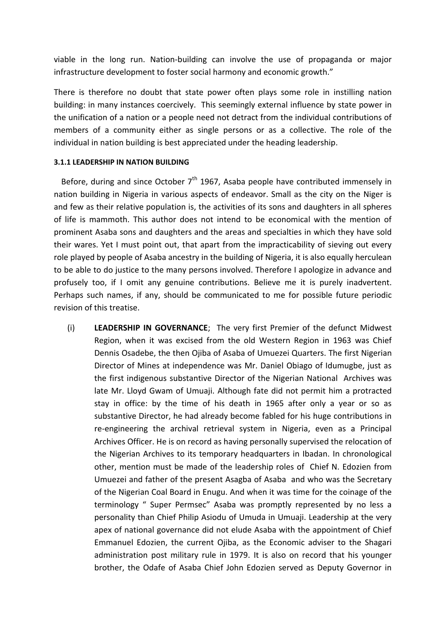viable in the long run. Nation-building can involve the use of propaganda or major infrastructure development to foster social harmony and economic growth."

There is therefore no doubt that state power often plays some role in instilling nation building: in many instances coercively. This seemingly external influence by state power in the unification of a nation or a people need not detract from the individual contributions of members of a community either as single persons or as a collective. The role of the individual in nation building is best appreciated under the heading leadership.

#### **3.1.1 LEADERSHIP IN NATION BUILDING**

Before, during and since October  $7<sup>th</sup>$  1967, Asaba people have contributed immensely in nation building in Nigeria in various aspects of endeavor. Small as the city on the Niger is and few as their relative population is, the activities of its sons and daughters in all spheres of life is mammoth. This author does not intend to be economical with the mention of prominent Asaba sons and daughters and the areas and specialties in which they have sold their wares. Yet I must point out, that apart from the impracticability of sieving out every role played by people of Asaba ancestry in the building of Nigeria, it is also equally herculean to be able to do justice to the many persons involved. Therefore I apologize in advance and profusely too, if I omit any genuine contributions. Believe me it is purely inadvertent. Perhaps such names, if any, should be communicated to me for possible future periodic revision of this treatise.

(i) **LEADERSHIP IN GOVERNANCE**; The very first Premier of the defunct Midwest Region, when it was excised from the old Western Region in 1963 was Chief Dennis Osadebe, the then Ojiba of Asaba of Umuezei Quarters. The first Nigerian Director of Mines at independence was Mr. Daniel Obiago of Idumugbe, just as the first indigenous substantive Director of the Nigerian National Archives was late Mr. Lloyd Gwam of Umuaji. Although fate did not permit him a protracted stay in office: by the time of his death in 1965 after only a year or so as substantive Director, he had already become fabled for his huge contributions in re-engineering the archival retrieval system in Nigeria, even as a Principal Archives Officer. He is on record as having personally supervised the relocation of the Nigerian Archives to its temporary headquarters in Ibadan. In chronological other, mention must be made of the leadership roles of Chief N. Edozien from Umuezei and father of the present Asagba of Asaba and who was the Secretary of the Nigerian Coal Board in Enugu. And when it was time for the coinage of the terminology " Super Permsec" Asaba was promptly represented by no less a personality than Chief Philip Asiodu of Umuda in Umuaji. Leadership at the very apex of national governance did not elude Asaba with the appointment of Chief Emmanuel Edozien, the current Ojiba, as the Economic adviser to the Shagari administration post military rule in 1979. It is also on record that his younger brother, the Odafe of Asaba Chief John Edozien served as Deputy Governor in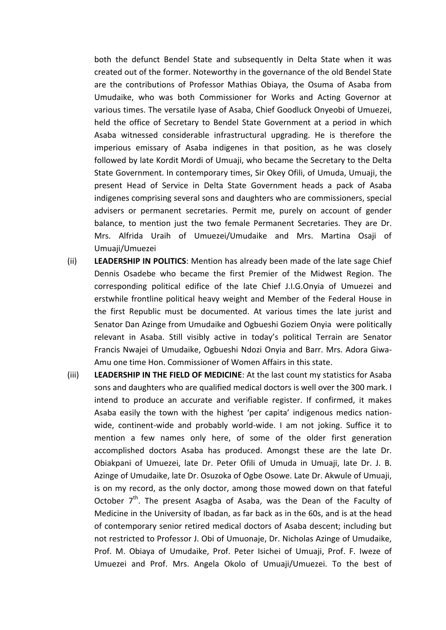both the defunct Bendel State and subsequently in Delta State when it was created out of the former. Noteworthy in the governance of the old Bendel State are the contributions of Professor Mathias Obiaya, the Osuma of Asaba from Umudaike, who was both Commissioner for Works and Acting Governor at various times. The versatile Iyase of Asaba, Chief Goodluck Onyeobi of Umuezei, held the office of Secretary to Bendel State Government at a period in which Asaba witnessed considerable infrastructural upgrading. He is therefore the imperious emissary of Asaba indigenes in that position, as he was closely followed by late Kordit Mordi of Umuaji, who became the Secretary to the Delta State Government. In contemporary times, Sir Okey Ofili, of Umuda, Umuaji, the present Head of Service in Delta State Government heads a pack of Asaba indigenes comprising several sons and daughters who are commissioners, special advisers or permanent secretaries. Permit me, purely on account of gender balance, to mention just the two female Permanent Secretaries. They are Dr. Mrs. Alfrida Uraih of Umuezei/Umudaike and Mrs. Martina Osaji of Umuaji/Umuezei

- (ii) **LEADERSHIP IN POLITICS**: Mention has already been made of the late sage Chief Dennis Osadebe who became the first Premier of the Midwest Region. The corresponding political edifice of the late Chief J.I.G.Onyia of Umuezei and erstwhile frontline political heavy weight and Member of the Federal House in the first Republic must be documented. At various times the late jurist and Senator Dan Azinge from Umudaike and Ogbueshi Goziem Onyia were politically relevant in Asaba. Still visibly active in today's political Terrain are Senator Francis Nwajei of Umudaike, Ogbueshi Ndozi Onyia and Barr. Mrs. Adora Giwa-Amu one time Hon. Commissioner of Women Affairs in this state.
- (iii) **LEADERSHIP IN THE FIELD OF MEDICINE**: At the last count my statistics for Asaba sons and daughters who are qualified medical doctors is well over the 300 mark. I intend to produce an accurate and verifiable register. If confirmed, it makes Asaba easily the town with the highest 'per capita' indigenous medics nationwide, continent-wide and probably world-wide. I am not joking. Suffice it to mention a few names only here, of some of the older first generation accomplished doctors Asaba has produced. Amongst these are the late Dr. Obiakpani of Umuezei, late Dr. Peter Ofili of Umuda in Umuaji, late Dr. J. B. Azinge of Umudaike, late Dr. Osuzoka of Ogbe Osowe. Late Dr. Akwule of Umuaji, is on my record, as the only doctor, among those mowed down on that fateful October 7<sup>th</sup>. The present Asagba of Asaba, was the Dean of the Faculty of Medicine in the University of Ibadan, as far back as in the 60s, and is at the head of contemporary senior retired medical doctors of Asaba descent; including but not restricted to Professor J. Obi of Umuonaje, Dr. Nicholas Azinge of Umudaike, Prof. M. Obiaya of Umudaike, Prof. Peter Isichei of Umuaji, Prof. F. Iweze of Umuezei and Prof. Mrs. Angela Okolo of Umuaji/Umuezei. To the best of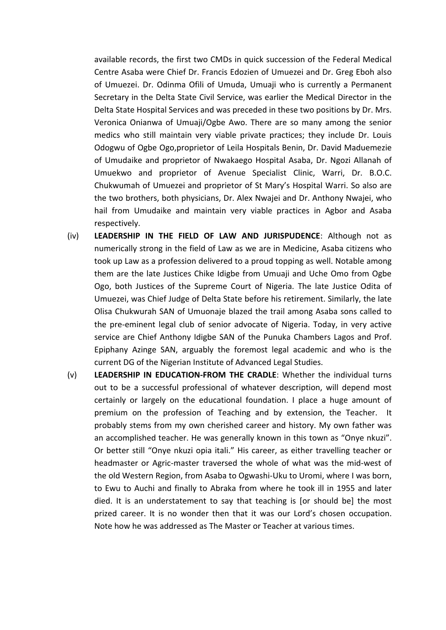available records, the first two CMDs in quick succession of the Federal Medical Centre Asaba were Chief Dr. Francis Edozien of Umuezei and Dr. Greg Eboh also of Umuezei. Dr. Odinma Ofili of Umuda, Umuaji who is currently a Permanent Secretary in the Delta State Civil Service, was earlier the Medical Director in the Delta State Hospital Services and was preceded in these two positions by Dr. Mrs. Veronica Onianwa of Umuaji/Ogbe Awo. There are so many among the senior medics who still maintain very viable private practices; they include Dr. Louis Odogwu of Ogbe Ogo,proprietor of Leila Hospitals Benin, Dr. David Maduemezie of Umudaike and proprietor of Nwakaego Hospital Asaba, Dr. Ngozi Allanah of Umuekwo and proprietor of Avenue Specialist Clinic, Warri, Dr. B.O.C. Chukwumah of Umuezei and proprietor of St Mary's Hospital Warri. So also are the two brothers, both physicians, Dr. Alex Nwajei and Dr. Anthony Nwajei, who hail from Umudaike and maintain very viable practices in Agbor and Asaba respectively.

- (iv) **LEADERSHIP IN THE FIELD OF LAW AND JURISPUDENCE**: Although not as numerically strong in the field of Law as we are in Medicine, Asaba citizens who took up Law as a profession delivered to a proud topping as well. Notable among them are the late Justices Chike Idigbe from Umuaji and Uche Omo from Ogbe Ogo, both Justices of the Supreme Court of Nigeria. The late Justice Odita of Umuezei, was Chief Judge of Delta State before his retirement. Similarly, the late Olisa Chukwurah SAN of Umuonaje blazed the trail among Asaba sons called to the pre-eminent legal club of senior advocate of Nigeria. Today, in very active service are Chief Anthony Idigbe SAN of the Punuka Chambers Lagos and Prof. Epiphany Azinge SAN, arguably the foremost legal academic and who is the current DG of the Nigerian Institute of Advanced Legal Studies.
- (v) **LEADERSHIP IN EDUCATION-FROM THE CRADLE**: Whether the individual turns out to be a successful professional of whatever description, will depend most certainly or largely on the educational foundation. I place a huge amount of premium on the profession of Teaching and by extension, the Teacher. It probably stems from my own cherished career and history. My own father was an accomplished teacher. He was generally known in this town as "Onye nkuzi". Or better still "Onye nkuzi opia itali." His career, as either travelling teacher or headmaster or Agric-master traversed the whole of what was the mid-west of the old Western Region, from Asaba to Ogwashi-Uku to Uromi, where I was born, to Ewu to Auchi and finally to Abraka from where he took ill in 1955 and later died. It is an understatement to say that teaching is [or should be] the most prized career. It is no wonder then that it was our Lord's chosen occupation. Note how he was addressed as The Master or Teacher at various times.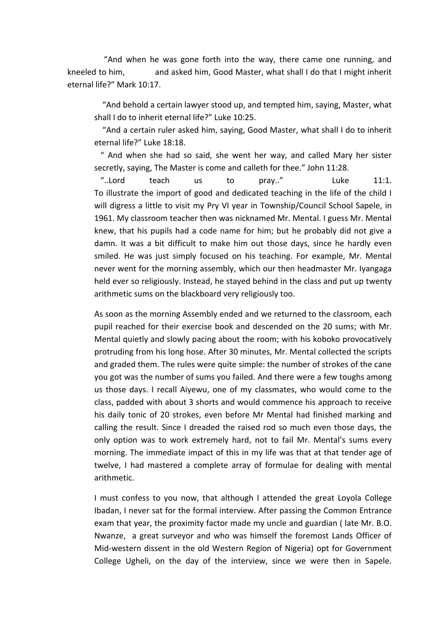"And when he was gone forth into the way, there came one running, and kneeled to him, and asked him, Good Master, what shall I do that I might inherit eternal life?" Mark 10:17.

 "And behold a certain lawyer stood up, and tempted him, saying, Master, what shall I do to inherit eternal life?" Luke 10:25.

 "And a certain ruler asked him, saying, Good Master, what shall I do to inherit eternal life?" Luke 18:18.

 " And when she had so said, she went her way, and called Mary her sister secretly, saying, The Master is come and calleth for thee." John 11:28.

 "..Lord teach us to pray.." Luke 11:1. To illustrate the import of good and dedicated teaching in the life of the child I will digress a little to visit my Pry VI year in Township/Council School Sapele, in 1961. My classroom teacher then was nicknamed Mr. Mental. I guess Mr. Mental knew, that his pupils had a code name for him; but he probably did not give a damn. It was a bit difficult to make him out those days, since he hardly even smiled. He was just simply focused on his teaching. For example, Mr. Mental never went for the morning assembly, which our then headmaster Mr. Iyangaga held ever so religiously. Instead, he stayed behind in the class and put up twenty arithmetic sums on the blackboard very religiously too.

As soon as the morning Assembly ended and we returned to the classroom, each pupil reached for their exercise book and descended on the 20 sums; with Mr. Mental quietly and slowly pacing about the room; with his koboko provocatively protruding from his long hose. After 30 minutes, Mr. Mental collected the scripts and graded them. The rules were quite simple: the number of strokes of the cane you got was the number of sums you failed. And there were a few toughs among us those days. I recall Aiyewu, one of my classmates, who would come to the class, padded with about 3 shorts and would commence his approach to receive his daily tonic of 20 strokes, even before Mr Mental had finished marking and calling the result. Since I dreaded the raised rod so much even those days, the only option was to work extremely hard, not to fail Mr. Mental's sums every morning. The immediate impact of this in my life was that at that tender age of twelve, I had mastered a complete array of formulae for dealing with mental arithmetic.

I must confess to you now, that although I attended the great Loyola College Ibadan, I never sat for the formal interview. After passing the Common Entrance exam that year, the proximity factor made my uncle and guardian ( late Mr. B.O. Nwanze, a great surveyor and who was himself the foremost Lands Officer of Mid-western dissent in the old Western Region of Nigeria) opt for Government College Ugheli, on the day of the interview, since we were then in Sapele.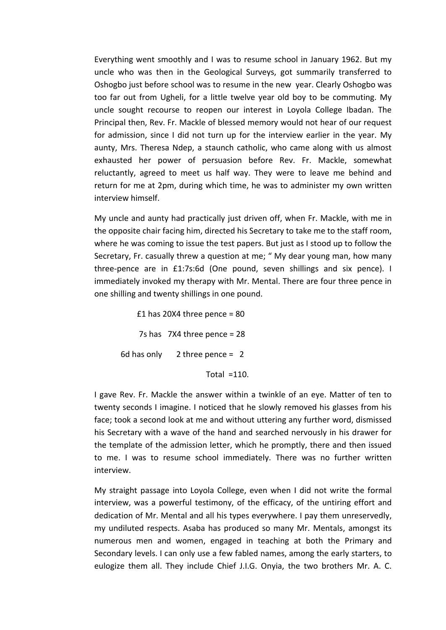Everything went smoothly and I was to resume school in January 1962. But my uncle who was then in the Geological Surveys, got summarily transferred to Oshogbo just before school was to resume in the new year. Clearly Oshogbo was too far out from Ugheli, for a little twelve year old boy to be commuting. My uncle sought recourse to reopen our interest in Loyola College Ibadan. The Principal then, Rev. Fr. Mackle of blessed memory would not hear of our request for admission, since I did not turn up for the interview earlier in the year. My aunty, Mrs. Theresa Ndep, a staunch catholic, who came along with us almost exhausted her power of persuasion before Rev. Fr. Mackle, somewhat reluctantly, agreed to meet us half way. They were to leave me behind and return for me at 2pm, during which time, he was to administer my own written interview himself.

My uncle and aunty had practically just driven off, when Fr. Mackle, with me in the opposite chair facing him, directed his Secretary to take me to the staff room, where he was coming to issue the test papers. But just as I stood up to follow the Secretary, Fr. casually threw a question at me; " My dear young man, how many three-pence are in £1:7s:6d (One pound, seven shillings and six pence). I immediately invoked my therapy with Mr. Mental. There are four three pence in one shilling and twenty shillings in one pound.

£1 has 20X4 three pence =  $80$  7s has 7X4 three pence = 28 6d has only  $2$  three pence = 2 Total  $=110$ .

I gave Rev. Fr. Mackle the answer within a twinkle of an eye. Matter of ten to twenty seconds I imagine. I noticed that he slowly removed his glasses from his face; took a second look at me and without uttering any further word, dismissed his Secretary with a wave of the hand and searched nervously in his drawer for the template of the admission letter, which he promptly, there and then issued to me. I was to resume school immediately. There was no further written interview.

My straight passage into Loyola College, even when I did not write the formal interview, was a powerful testimony, of the efficacy, of the untiring effort and dedication of Mr. Mental and all his types everywhere. I pay them unreservedly, my undiluted respects. Asaba has produced so many Mr. Mentals, amongst its numerous men and women, engaged in teaching at both the Primary and Secondary levels. I can only use a few fabled names, among the early starters, to eulogize them all. They include Chief J.I.G. Onyia, the two brothers Mr. A. C.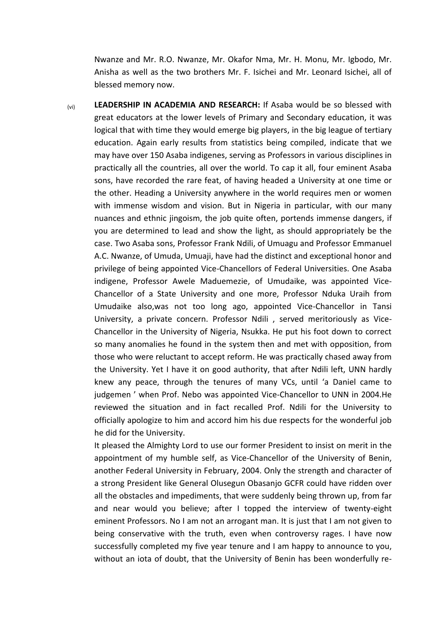Nwanze and Mr. R.O. Nwanze, Mr. Okafor Nma, Mr. H. Monu, Mr. Igbodo, Mr. Anisha as well as the two brothers Mr. F. Isichei and Mr. Leonard Isichei, all of blessed memory now.

(vi) **LEADERSHIP IN ACADEMIA AND RESEARCH:** If Asaba would be so blessed with great educators at the lower levels of Primary and Secondary education, it was logical that with time they would emerge big players, in the big league of tertiary education. Again early results from statistics being compiled, indicate that we may have over 150 Asaba indigenes, serving as Professors in various disciplines in practically all the countries, all over the world. To cap it all, four eminent Asaba sons, have recorded the rare feat, of having headed a University at one time or the other. Heading a University anywhere in the world requires men or women with immense wisdom and vision. But in Nigeria in particular, with our many nuances and ethnic jingoism, the job quite often, portends immense dangers, if you are determined to lead and show the light, as should appropriately be the case. Two Asaba sons, Professor Frank Ndili, of Umuagu and Professor Emmanuel A.C. Nwanze, of Umuda, Umuaji, have had the distinct and exceptional honor and privilege of being appointed Vice-Chancellors of Federal Universities. One Asaba indigene, Professor Awele Maduemezie, of Umudaike, was appointed Vice-Chancellor of a State University and one more, Professor Nduka Uraih from Umudaike also,was not too long ago, appointed Vice-Chancellor in Tansi University, a private concern. Professor Ndili , served meritoriously as Vice-Chancellor in the University of Nigeria, Nsukka. He put his foot down to correct so many anomalies he found in the system then and met with opposition, from those who were reluctant to accept reform. He was practically chased away from the University. Yet I have it on good authority, that after Ndili left, UNN hardly knew any peace, through the tenures of many VCs, until 'a Daniel came to judgemen ' when Prof. Nebo was appointed Vice-Chancellor to UNN in 2004.He reviewed the situation and in fact recalled Prof. Ndili for the University to officially apologize to him and accord him his due respects for the wonderful job he did for the University.

It pleased the Almighty Lord to use our former President to insist on merit in the appointment of my humble self, as Vice-Chancellor of the University of Benin, another Federal University in February, 2004. Only the strength and character of a strong President like General Olusegun Obasanjo GCFR could have ridden over all the obstacles and impediments, that were suddenly being thrown up, from far and near would you believe; after I topped the interview of twenty-eight eminent Professors. No I am not an arrogant man. It is just that I am not given to being conservative with the truth, even when controversy rages. I have now successfully completed my five year tenure and I am happy to announce to you, without an iota of doubt, that the University of Benin has been wonderfully re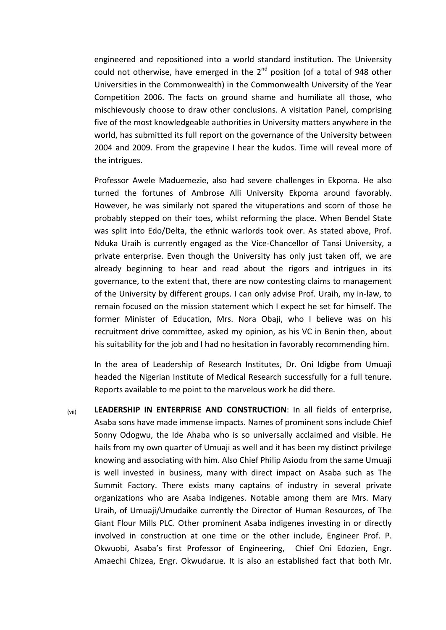engineered and repositioned into a world standard institution. The University could not otherwise, have emerged in the  $2^{nd}$  position (of a total of 948 other Universities in the Commonwealth) in the Commonwealth University of the Year Competition 2006. The facts on ground shame and humiliate all those, who mischievously choose to draw other conclusions. A visitation Panel, comprising five of the most knowledgeable authorities in University matters anywhere in the world, has submitted its full report on the governance of the University between 2004 and 2009. From the grapevine I hear the kudos. Time will reveal more of the intrigues.

Professor Awele Maduemezie, also had severe challenges in Ekpoma. He also turned the fortunes of Ambrose Alli University Ekpoma around favorably. However, he was similarly not spared the vituperations and scorn of those he probably stepped on their toes, whilst reforming the place. When Bendel State was split into Edo/Delta, the ethnic warlords took over. As stated above, Prof. Nduka Uraih is currently engaged as the Vice-Chancellor of Tansi University, a private enterprise. Even though the University has only just taken off, we are already beginning to hear and read about the rigors and intrigues in its governance, to the extent that, there are now contesting claims to management of the University by different groups. I can only advise Prof. Uraih, my in-law, to remain focused on the mission statement which I expect he set for himself. The former Minister of Education, Mrs. Nora Obaji, who I believe was on his recruitment drive committee, asked my opinion, as his VC in Benin then, about his suitability for the job and I had no hesitation in favorably recommending him.

In the area of Leadership of Research Institutes, Dr. Oni Idigbe from Umuaji headed the Nigerian Institute of Medical Research successfully for a full tenure. Reports available to me point to the marvelous work he did there.

(vii) **LEADERSHIP IN ENTERPRISE AND CONSTRUCTION**: In all fields of enterprise, Asaba sons have made immense impacts. Names of prominent sons include Chief Sonny Odogwu, the Ide Ahaba who is so universally acclaimed and visible. He hails from my own quarter of Umuaji as well and it has been my distinct privilege knowing and associating with him. Also Chief Philip Asiodu from the same Umuaji is well invested in business, many with direct impact on Asaba such as The Summit Factory. There exists many captains of industry in several private organizations who are Asaba indigenes. Notable among them are Mrs. Mary Uraih, of Umuaji/Umudaike currently the Director of Human Resources, of The Giant Flour Mills PLC. Other prominent Asaba indigenes investing in or directly involved in construction at one time or the other include, Engineer Prof. P. Okwuobi, Asaba's first Professor of Engineering, Chief Oni Edozien, Engr. Amaechi Chizea, Engr. Okwudarue. It is also an established fact that both Mr.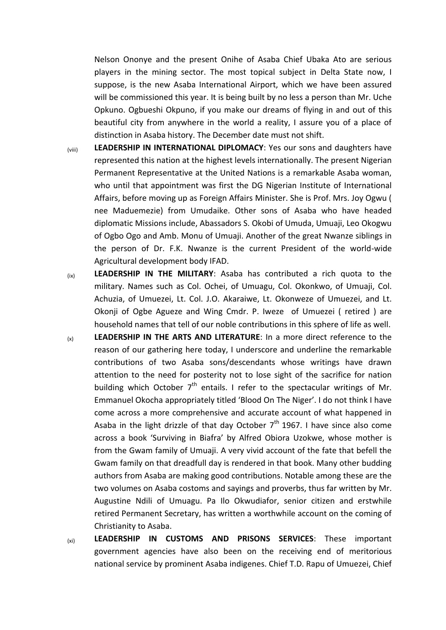Nelson Ononye and the present Onihe of Asaba Chief Ubaka Ato are serious players in the mining sector. The most topical subject in Delta State now, I suppose, is the new Asaba International Airport, which we have been assured will be commissioned this year. It is being built by no less a person than Mr. Uche Opkuno. Ogbueshi Okpuno, if you make our dreams of flying in and out of this beautiful city from anywhere in the world a reality, I assure you of a place of distinction in Asaba history. The December date must not shift.

- (viii) **LEADERSHIP IN INTERNATIONAL DIPLOMACY**: Yes our sons and daughters have represented this nation at the highest levels internationally. The present Nigerian Permanent Representative at the United Nations is a remarkable Asaba woman, who until that appointment was first the DG Nigerian Institute of International Affairs, before moving up as Foreign Affairs Minister. She is Prof. Mrs. Joy Ogwu ( nee Maduemezie) from Umudaike. Other sons of Asaba who have headed diplomatic Missions include, Abassadors S. Okobi of Umuda, Umuaji, Leo Okogwu of Ogbo Ogo and Amb. Monu of Umuaji. Another of the great Nwanze siblings in the person of Dr. F.K. Nwanze is the current President of the world-wide Agricultural development body IFAD.
- (ix) **LEADERSHIP IN THE MILITARY**: Asaba has contributed a rich quota to the military. Names such as Col. Ochei, of Umuagu, Col. Okonkwo, of Umuaji, Col. Achuzia, of Umuezei, Lt. Col. J.O. Akaraiwe, Lt. Okonweze of Umuezei, and Lt. Okonji of Ogbe Agueze and Wing Cmdr. P. Iweze of Umuezei ( retired ) are household names that tell of our noble contributions in this sphere of life as well.
- (x) **LEADERSHIP IN THE ARTS AND LITERATURE**: In a more direct reference to the reason of our gathering here today, I underscore and underline the remarkable contributions of two Asaba sons/descendants whose writings have drawn attention to the need for posterity not to lose sight of the sacrifice for nation building which October  $7<sup>th</sup>$  entails. I refer to the spectacular writings of Mr. Emmanuel Okocha appropriately titled 'Blood On The Niger'. I do not think I have come across a more comprehensive and accurate account of what happened in Asaba in the light drizzle of that day October  $7<sup>th</sup>$  1967. I have since also come across a book 'Surviving in Biafra' by Alfred Obiora Uzokwe, whose mother is from the Gwam family of Umuaji. A very vivid account of the fate that befell the Gwam family on that dreadfull day is rendered in that book. Many other budding authors from Asaba are making good contributions. Notable among these are the two volumes on Asaba costoms and sayings and proverbs, thus far written by Mr. Augustine Ndili of Umuagu. Pa Ilo Okwudiafor, senior citizen and erstwhile retired Permanent Secretary, has written a worthwhile account on the coming of Christianity to Asaba.
- (xi) **LEADERSHIP IN CUSTOMS AND PRISONS SERVICES**: These important government agencies have also been on the receiving end of meritorious national service by prominent Asaba indigenes. Chief T.D. Rapu of Umuezei, Chief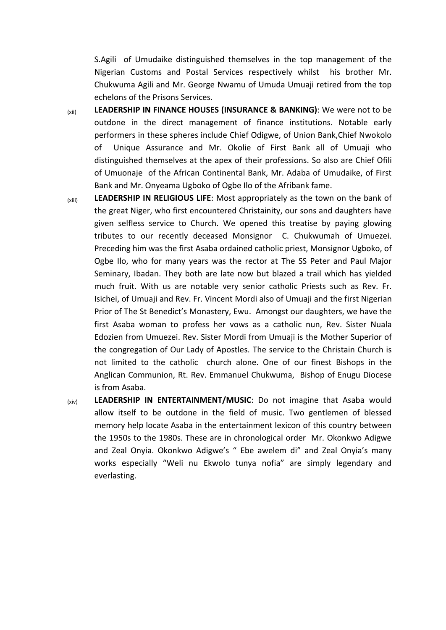S.Agili of Umudaike distinguished themselves in the top management of the Nigerian Customs and Postal Services respectively whilst his brother Mr. Chukwuma Agili and Mr. George Nwamu of Umuda Umuaji retired from the top echelons of the Prisons Services.

- (xii) **LEADERSHIP IN FINANCE HOUSES (INSURANCE & BANKING)**: We were not to be outdone in the direct management of finance institutions. Notable early performers in these spheres include Chief Odigwe, of Union Bank,Chief Nwokolo of Unique Assurance and Mr. Okolie of First Bank all of Umuaji who distinguished themselves at the apex of their professions. So also are Chief Ofili of Umuonaje of the African Continental Bank, Mr. Adaba of Umudaike, of First Bank and Mr. Onyeama Ugboko of Ogbe Ilo of the Afribank fame.
- (xiii) **LEADERSHIP IN RELIGIOUS LIFE**: Most appropriately as the town on the bank of the great Niger, who first encountered Christainity, our sons and daughters have given selfless service to Church. We opened this treatise by paying glowing tributes to our recently deceased Monsignor C. Chukwumah of Umuezei. Preceding him was the first Asaba ordained catholic priest, Monsignor Ugboko, of Ogbe Ilo, who for many years was the rector at The SS Peter and Paul Major Seminary, Ibadan. They both are late now but blazed a trail which has yielded much fruit. With us are notable very senior catholic Priests such as Rev. Fr. Isichei, of Umuaji and Rev. Fr. Vincent Mordi also of Umuaji and the first Nigerian Prior of The St Benedict's Monastery, Ewu. Amongst our daughters, we have the first Asaba woman to profess her vows as a catholic nun, Rev. Sister Nuala Edozien from Umuezei. Rev. Sister Mordi from Umuaji is the Mother Superior of the congregation of Our Lady of Apostles. The service to the Christain Church is not limited to the catholic church alone. One of our finest Bishops in the Anglican Communion, Rt. Rev. Emmanuel Chukwuma, Bishop of Enugu Diocese is from Asaba.
- (xiv) **LEADERSHIP IN ENTERTAINMENT/MUSIC**: Do not imagine that Asaba would allow itself to be outdone in the field of music. Two gentlemen of blessed memory help locate Asaba in the entertainment lexicon of this country between the 1950s to the 1980s. These are in chronological order Mr. Okonkwo Adigwe and Zeal Onyia. Okonkwo Adigwe's " Ebe awelem di" and Zeal Onyia's many works especially "Weli nu Ekwolo tunya nofia" are simply legendary and everlasting.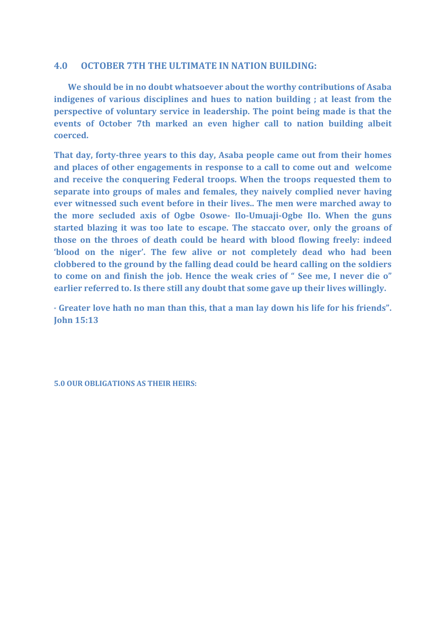#### **4.0 OCTOBER 7TH THE ULTIMATE IN NATION BUILDING:**

 **We should be in no doubt whatsoever about the worthy contributions of Asaba indigenes of various disciplines and hues to nation building ; at least from the perspective of voluntary service in leadership. The point being made is that the events of October 7th marked an even higher call to nation building albeit coerced.**

**That day, forty-three years to this day, Asaba people came out from their homes and places of other engagements in response to a call to come out and welcome and receive the conquering Federal troops. When the troops requested them to separate into groups of males and females, they naively complied never having ever witnessed such event before in their lives.. The men were marched away to the more secluded axis of Ogbe Osowe- Ilo-Umuaji-Ogbe Ilo. When the guns started blazing it was too late to escape. The staccato over, only the groans of those on the throes of death could be heard with blood flowing freely: indeed 'blood on the niger'. The few alive or not completely dead who had been clobbered to the ground by the falling dead could be heard calling on the soldiers to come on and finish the job. Hence the weak cries of " See me, I never die o" earlier referred to. Is there still any doubt that some gave up their lives willingly.** 

**" Greater love hath no man than this, that a man lay down his life for his friends". John 15:13**

**5.0 OUR OBLIGATIONS AS THEIR HEIRS:**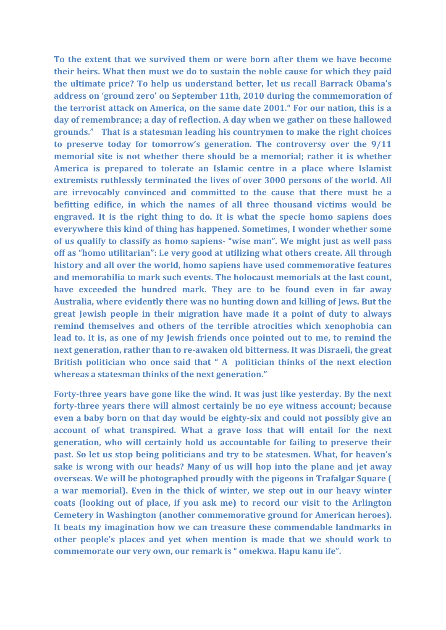**To the extent that we survived them or were born after them we have become their heirs. What then must we do to sustain the noble cause for which they paid the ultimate price? To help us understand better, let us recall Barrack Obama's address on 'ground zero' on September 11th, 2010 during the commemoration of the terrorist attack on America, on the same date 2001." For our nation, this is a day of remembrance; a day of reflection. A day when we gather on these hallowed grounds." That is a statesman leading his countrymen to make the right choices to preserve today for tomorrow's generation. The controversy over the 9/11 memorial site is not whether there should be a memorial; rather it is whether America is prepared to tolerate an Islamic centre in a place where Islamist extremists ruthlessly terminated the lives of over 3000 persons of the world. All are irrevocably convinced and committed to the cause that there must be a befitting edifice, in which the names of all three thousand victims would be engraved. It is the right thing to do. It is what the specie homo sapiens does everywhere this kind of thing has happened. Sometimes, I wonder whether some of us qualify to classify as homo sapiens- "wise man". We might just as well pass off as "homo utilitarian": i.e very good at utilizing what others create. All through history and all over the world, homo sapiens have used commemorative features and memorabilia to mark such events. The holocaust memorials at the last count, have exceeded the hundred mark. They are to be found even in far away Australia, where evidently there was no hunting down and killing of Jews. But the great Jewish people in their migration have made it a point of duty to always remind themselves and others of the terrible atrocities which xenophobia can lead to. It is, as one of my Jewish friends once pointed out to me, to remind the next generation, rather than to re-awaken old bitterness. It was Disraeli, the great British politician who once said that " A politician thinks of the next election whereas a statesman thinks of the next generation."**

**Forty-three years have gone like the wind. It was just like yesterday. By the next forty-three years there will almost certainly be no eye witness account; because even a baby born on that day would be eighty-six and could not possibly give an account of what transpired. What a grave loss that will entail for the next generation, who will certainly hold us accountable for failing to preserve their past. So let us stop being politicians and try to be statesmen. What, for heaven's sake is wrong with our heads? Many of us will hop into the plane and jet away overseas. We will be photographed proudly with the pigeons in Trafalgar Square ( a war memorial). Even in the thick of winter, we step out in our heavy winter coats (looking out of place, if you ask me) to record our visit to the Arlington Cemetery in Washington (another commemorative ground for American heroes). It beats my imagination how we can treasure these commendable landmarks in other people's places and yet when mention is made that we should work to commemorate our very own, our remark is " omekwa. Hapu kanu ife".**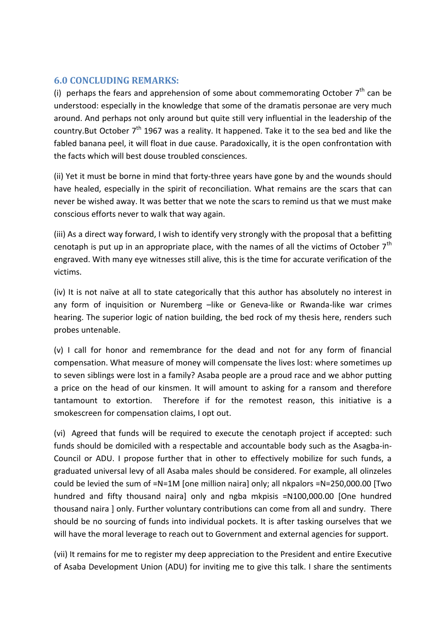## **6.0 CONCLUDING REMARKS:**

(i) perhaps the fears and apprehension of some about commemorating October  $7<sup>th</sup>$  can be understood: especially in the knowledge that some of the dramatis personae are very much around. And perhaps not only around but quite still very influential in the leadership of the country.But October  $7<sup>th</sup>$  1967 was a reality. It happened. Take it to the sea bed and like the fabled banana peel, it will float in due cause. Paradoxically, it is the open confrontation with the facts which will best douse troubled consciences.

(ii) Yet it must be borne in mind that forty-three years have gone by and the wounds should have healed, especially in the spirit of reconciliation. What remains are the scars that can never be wished away. It was better that we note the scars to remind us that we must make conscious efforts never to walk that way again.

(iii) As a direct way forward, I wish to identify very strongly with the proposal that a befitting cenotaph is put up in an appropriate place, with the names of all the victims of October  $7<sup>th</sup>$ engraved. With many eye witnesses still alive, this is the time for accurate verification of the victims.

(iv) It is not naïve at all to state categorically that this author has absolutely no interest in any form of inquisition or Nuremberg –like or Geneva-like or Rwanda-like war crimes hearing. The superior logic of nation building, the bed rock of my thesis here, renders such probes untenable.

(v) I call for honor and remembrance for the dead and not for any form of financial compensation. What measure of money will compensate the lives lost: where sometimes up to seven siblings were lost in a family? Asaba people are a proud race and we abhor putting a price on the head of our kinsmen. It will amount to asking for a ransom and therefore tantamount to extortion. Therefore if for the remotest reason, this initiative is a smokescreen for compensation claims, I opt out.

(vi) Agreed that funds will be required to execute the cenotaph project if accepted: such funds should be domiciled with a respectable and accountable body such as the Asagba-in-Council or ADU. I propose further that in other to effectively mobilize for such funds, a graduated universal levy of all Asaba males should be considered. For example, all olinzeles could be levied the sum of =N=1M [one million naira] only; all nkpalors =N=250,000.00 [Two hundred and fifty thousand naira] only and ngba mkpisis =N100,000.00 [One hundred thousand naira ] only. Further voluntary contributions can come from all and sundry. There should be no sourcing of funds into individual pockets. It is after tasking ourselves that we will have the moral leverage to reach out to Government and external agencies for support.

(vii) It remains for me to register my deep appreciation to the President and entire Executive of Asaba Development Union (ADU) for inviting me to give this talk. I share the sentiments